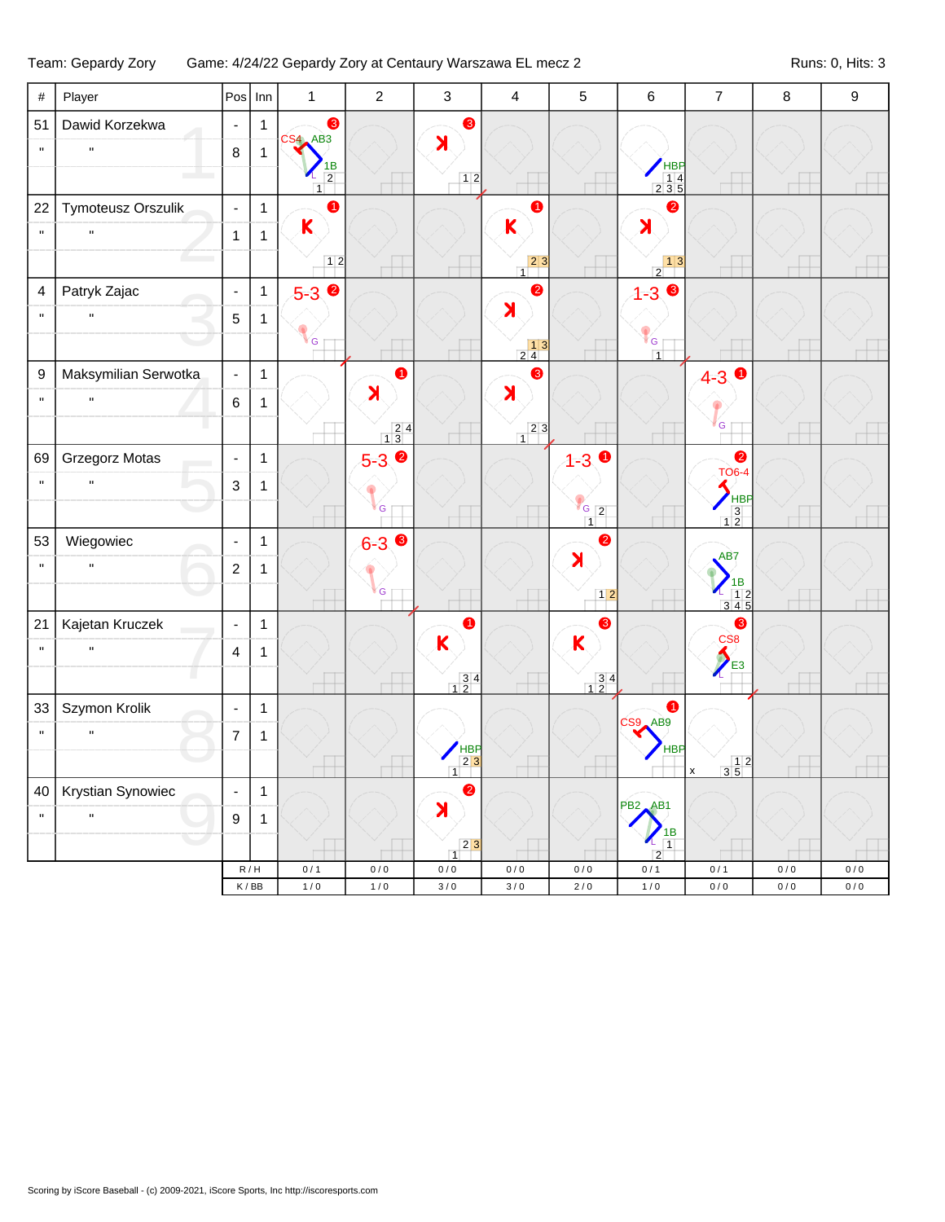## Team: Gepardy Zory Game: 4/24/22 Gepardy Zory at Centaury Warszawa EL mecz 2 Runs: 0, Hits: 3

| $\#$             | Player               |                          | $Pos$ Inn                          | $\mathbf{1}$                           | $\overline{2}$                          | $\mathbf{3}$                                  | $\overline{4}$                                    | $\sqrt{5}$                              | $\,6\,$                                                  | $\overline{7}$                                           | $\,8\,$ | 9     |
|------------------|----------------------|--------------------------|------------------------------------|----------------------------------------|-----------------------------------------|-----------------------------------------------|---------------------------------------------------|-----------------------------------------|----------------------------------------------------------|----------------------------------------------------------|---------|-------|
| 51               | Dawid Korzekwa       | $\blacksquare$           | $\mathbf{1}$                       | ❸<br>$CS4$ $AB3$                       |                                         | 8                                             |                                                   |                                         |                                                          |                                                          |         |       |
| $\mathbf{u}$     | $\mathbf{H}$         | 8                        | 1                                  |                                        |                                         | X                                             |                                                   |                                         |                                                          |                                                          |         |       |
|                  |                      |                          |                                    | 1B<br>$\overline{2}$<br>$\overline{1}$ |                                         | 12                                            |                                                   |                                         | $HBP$<br>$14$<br>$235$                                   |                                                          |         |       |
| 22               | Tymoteusz Orszulik   | $\blacksquare$           | $\mathbf{1}$                       | ➊                                      |                                         |                                               | 6                                                 |                                         | $\bullet$                                                |                                                          |         |       |
| $\mathbf{u}$     | $\mathbf{H}$         | $\mathbf{1}$             | $\mathbf{1}$                       | $\mathsf{K}$                           |                                         |                                               | K                                                 |                                         | $\lambda$                                                |                                                          |         |       |
|                  |                      |                          |                                    | 12                                     |                                         |                                               | $\begin{array}{c c} & 2 & 3 \\ 1 & & \end{array}$ |                                         | $\begin{array}{c c} & 1 & 3 \end{array}$                 | m.                                                       |         |       |
| 4                | Patryk Zajac         | $\blacksquare$           | $\mathbf{1}$                       | $5-3$ $\bullet$                        |                                         |                                               | $\bullet$                                         |                                         | $1 - 3$ $\odot$                                          |                                                          |         |       |
| $\mathbf{u}$     | $\mathbf{H}$         | $\overline{5}$           | 1                                  |                                        |                                         |                                               | $\lambda$                                         |                                         |                                                          |                                                          |         |       |
|                  |                      |                          |                                    | G                                      |                                         |                                               | $\begin{array}{c c} & 13 \\ 24 & \end{array}$     |                                         | $\mathsf{F}_{\mathsf{G}}$ $\mathsf{F}$<br>$\overline{1}$ |                                                          |         |       |
| $\boldsymbol{9}$ | Maksymilian Serwotka | $\blacksquare$           | $\mathbf{1}$                       |                                        | 0                                       |                                               | ❸                                                 |                                         |                                                          | $4-3$ 0                                                  |         |       |
| $\mathbf{u}$     | $\mathbf{H}$         | $\,6\,$                  | 1                                  |                                        | $\blacktriangleright$                   |                                               | $\blacktriangleright$                             |                                         |                                                          |                                                          |         |       |
|                  |                      |                          |                                    |                                        | $\begin{array}{c} 24 \\ 13 \end{array}$ |                                               | $23$<br>$\overline{1}$                            |                                         |                                                          | G                                                        |         |       |
| 69               | Grzegorz Motas       | $\blacksquare$           | $\mathbf{1}$                       |                                        | $5-3$ $\bullet$                         |                                               |                                                   | $1 - 3$ $\bullet$                       |                                                          | $\bullet$                                                |         |       |
| $\mathbf{u}$     | $\mathbf{H}$         | $\mathbf{3}$             | $\mathbf{1}$                       |                                        |                                         |                                               |                                                   |                                         |                                                          | <b>TO6-4</b>                                             |         |       |
|                  |                      |                          |                                    |                                        | G                                       |                                               |                                                   | $G_{2}$<br>$\overline{1}$               |                                                          | HBP<br>$\begin{array}{c} 3 \\ 12 \end{array}$            |         |       |
| 53               | Wiegowiec            | $\blacksquare$           | $\mathbf{1}$                       |                                        | $6 - 3$                                 |                                               |                                                   | $\bullet$                               |                                                          |                                                          |         |       |
| $\mathbf{u}$     | $\mathbf{H}$         | $\boldsymbol{2}$         | 1                                  |                                        |                                         |                                               |                                                   | $\blacktriangleright$                   |                                                          | AB7                                                      |         |       |
|                  |                      |                          |                                    |                                        | G                                       |                                               |                                                   | $12$                                    |                                                          | $\begin{array}{r} \n 1B \\  12 \\  345\n \end{array}$    |         |       |
| 21               | Kajetan Kruczek      | $\blacksquare$           | $\mathbf{1}$                       |                                        |                                         | $\bullet$                                     |                                                   | ❸                                       |                                                          | $\bullet$                                                |         |       |
| $\mathbf{u}$     | $\mathbf{H}$         | $\overline{4}$           | 1                                  |                                        |                                         | $\mathsf K$                                   |                                                   | $\mathbf K$                             |                                                          | CS <sub>8</sub>                                          |         |       |
|                  |                      |                          |                                    |                                        |                                         | $\begin{array}{c} 3 & 4 \\ 1 & 2 \end{array}$ |                                                   | $\begin{array}{r} 34 \\ 12 \end{array}$ |                                                          | $\sum_{1}$                                               |         |       |
| 33               | Szymon Krolik        | $\blacksquare$           | $\mathbf{1}$                       |                                        |                                         |                                               |                                                   |                                         | $\bullet$                                                |                                                          |         |       |
| $\mathbf{u}$     | $\mathbf{H}$         | $\overline{7}$           | 1                                  |                                        |                                         |                                               |                                                   |                                         | CS9 AB9                                                  |                                                          |         |       |
|                  |                      |                          |                                    |                                        |                                         | $HBP$<br>$23$<br>$\overline{1}$               |                                                   |                                         | <b>HBP</b>                                               | $\begin{array}{c c} & 1 & 2 \\ 3 & 5 & \end{array}$<br>X |         |       |
| 40               | Krystian Synowiec    | $\overline{\phantom{a}}$ | 1                                  |                                        |                                         | $\bullet$                                     |                                                   |                                         |                                                          |                                                          |         |       |
| $\mathbf{u}$     | $\mathbf{H}$         | $\boldsymbol{9}$         | $\mathbf 1$                        |                                        |                                         | X                                             |                                                   |                                         | <b>PB2 AB1</b>                                           |                                                          |         |       |
|                  |                      |                          |                                    |                                        |                                         | 2 3 <br>$\overline{1}$                        |                                                   |                                         | 1B<br>$\overline{1}$<br>2                                |                                                          |         |       |
|                  |                      |                          | $\mathsf R\,/\,\mathsf H$          | 0/1                                    | 0/0                                     | $0/0$                                         | 0/0                                               | $0\,/\,0$                               | 0/1                                                      | 0/1                                                      | 0/0     | 0/0   |
|                  |                      |                          | $\mathsf K$ / $\mathsf B\mathsf B$ | $1/0$                                  | 1/0                                     | $3/0$                                         | $3/0$                                             | $2/0$                                   | $1/0$                                                    | $0/0$                                                    | 0/0     | $0/0$ |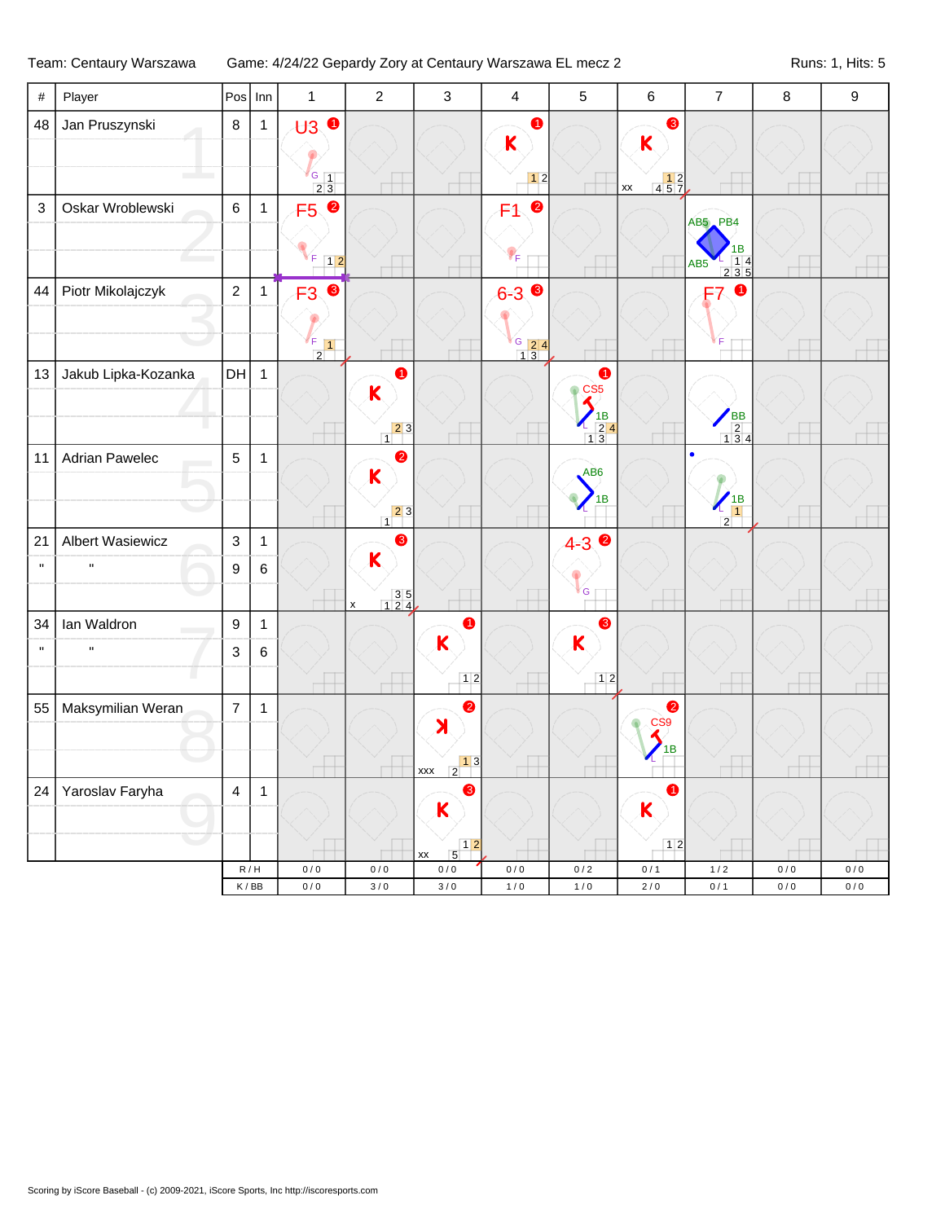| $\#$         | Player                  |                  | $Pos$ Inn      | $\mathbf{1}$                                                               | $\overline{c}$                                                     | $\mathbf{3}$                                                   | $\overline{4}$            | $\overline{5}$                                                                                                                                                                                                                                                       | $\,6\,$                                                                      | $\overline{7}$                                                        | $\,8\,$ | $\boldsymbol{9}$ |
|--------------|-------------------------|------------------|----------------|----------------------------------------------------------------------------|--------------------------------------------------------------------|----------------------------------------------------------------|---------------------------|----------------------------------------------------------------------------------------------------------------------------------------------------------------------------------------------------------------------------------------------------------------------|------------------------------------------------------------------------------|-----------------------------------------------------------------------|---------|------------------|
| 48           | Jan Pruszynski          | $\bf 8$          | $\mathbf{1}$   | $\mathbf{H}$ $\mathbf{0}$<br>$\sqrt{G}$ 1<br>$\overline{2}$ $\overline{3}$ |                                                                    |                                                                | ➊<br>K<br>$12$            |                                                                                                                                                                                                                                                                      | ❸<br>K<br>$\begin{array}{ c c c }\n\hline\n4 & 5 & 7 \\ \hline\n\end{array}$ |                                                                       |         |                  |
| $\sqrt{3}$   | Oskar Wroblewski        | $6\phantom{a}$   | $\mathbf{1}$   | F5 <sup>0</sup>                                                            |                                                                    |                                                                | $\bullet$<br>F1           |                                                                                                                                                                                                                                                                      | $\overline{\mathsf{xx}}$                                                     | AB5 PB4<br>1B                                                         |         |                  |
|              |                         |                  |                | F<br>$\boxed{1 2}$                                                         |                                                                    |                                                                | 'F                        |                                                                                                                                                                                                                                                                      |                                                                              | $\begin{array}{cccc}\n & 1 & 4 \\  & 2 & 3 & 5\n\end{array}$<br>AB5   |         |                  |
| 44           | Piotr Mikolajczyk       | $\overline{2}$   | $\mathbf{1}$   | $\bullet$<br>F <sub>3</sub><br>$\frac{F}{2}$ 1                             |                                                                    |                                                                | $6 - 3$<br>$\frac{6}{13}$ |                                                                                                                                                                                                                                                                      |                                                                              | ➊                                                                     |         |                  |
| 13           | Jakub Lipka-Kozanka     | DH               | $\overline{1}$ |                                                                            | 4<br>K<br>$\begin{array}{c c} & 2 & 3 \\ \hline & 1 & \end{array}$ |                                                                |                           | 4<br>$\circ$ CS5<br>$\blacktriangleleft$<br>$\begin{array}{c} \begin{array}{c} \begin{array}{c} \end{array} \\ \begin{array}{c} \end{array} \\ \begin{array}{c} \end{array} \\ \begin{array}{c} \end{array} \\ \begin{array}{c} \end{array} \end{array} \end{array}$ |                                                                              | $\begin{array}{c}\n\overline{AB} \\ \overline{2} \\ 134\n\end{array}$ |         |                  |
| 11           | <b>Adrian Pawelec</b>   | $\overline{5}$   | $\mathbf{1}$   |                                                                            | 2<br>K<br>$\begin{array}{c c} & 2 & 3 \\ 1 & & \end{array}$        |                                                                |                           | AB <sub>6</sub><br>1B                                                                                                                                                                                                                                                |                                                                              | $\frac{1}{1}$<br>$\overline{2}$                                       |         |                  |
| 21           | <b>Albert Wasiewicz</b> | $\mathbf{3}$     | $\mathbf{1}$   |                                                                            | ❸                                                                  |                                                                |                           | $4 - 3$<br>$\bullet$                                                                                                                                                                                                                                                 |                                                                              |                                                                       |         |                  |
| $\mathbf{u}$ | $\mathbf{u}$            | $\boldsymbol{9}$ | $\,6\,$        |                                                                            | K<br>$\begin{array}{c} 3 & 5 \\ 1 & 2 & 4 \end{array}$             |                                                                |                           | <sup>i</sup> G                                                                                                                                                                                                                                                       |                                                                              |                                                                       |         |                  |
| 34           | Ian Waldron             | $\boldsymbol{9}$ | $\mathbf{1}$   |                                                                            | $\pmb{\mathsf{x}}$                                                 | 0                                                              |                           | ❸                                                                                                                                                                                                                                                                    |                                                                              |                                                                       |         |                  |
| $\mathbf{u}$ | $\mathbf{u}$            | $\mathbf{3}$     | $\,6\,$        |                                                                            |                                                                    | $\mathbf K$                                                    |                           | $\mathsf{K}$                                                                                                                                                                                                                                                         |                                                                              |                                                                       |         |                  |
|              |                         |                  |                |                                                                            |                                                                    | 12                                                             |                           | $12$                                                                                                                                                                                                                                                                 |                                                                              |                                                                       |         |                  |
| 55           | Maksymilian Weran       | $\overline{7}$   | $\mathbf{1}$   |                                                                            |                                                                    | $\bullet$<br>X                                                 |                           |                                                                                                                                                                                                                                                                      | ❷<br>CS <sub>9</sub><br>1B                                                   |                                                                       |         |                  |
|              |                         |                  |                |                                                                            |                                                                    | $\begin{array}{ c c }\n x & 2 \\ \hline\n\end{array}$          |                           |                                                                                                                                                                                                                                                                      |                                                                              |                                                                       |         |                  |
| 24           | Yaroslav Faryha         | $\overline{4}$   | $\mathbf{1}$   |                                                                            |                                                                    | 8<br>K                                                         |                           |                                                                                                                                                                                                                                                                      | 0<br>$\overline{\mathsf{K}}$                                                 |                                                                       |         |                  |
|              |                         |                  |                |                                                                            |                                                                    | $\begin{array}{c c} & 1 & 2 \\ \hline 5 & & \end{array}$<br>xx |                           |                                                                                                                                                                                                                                                                      | $12$                                                                         |                                                                       |         |                  |
|              |                         |                  | R/H            | 0/0                                                                        | 0/0                                                                | $0\,/\,0$                                                      | $0/0$                     | 0/2                                                                                                                                                                                                                                                                  | 0/1                                                                          | 1/2                                                                   | 0/0     | 0/0              |
|              |                         |                  | K/BB           | 0/0                                                                        | $3/0$                                                              | 3/0                                                            | 1/0                       | 1/0                                                                                                                                                                                                                                                                  | $2/0$                                                                        | 0/1                                                                   | 0/0     | 0/0              |